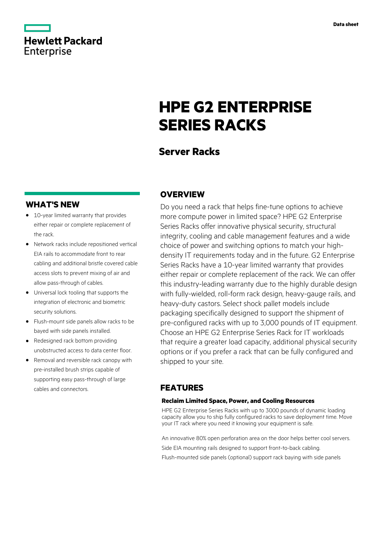

## **Hewlett Packard** Enterprise

# **HPE G2 ENTERPRISE SERIES RACKS**

## **Server Racks**

## **WHAT'S NEW**

- **·** 10-year limited warranty that provides either repair or complete replacement of the rack.
- **·** Network racks include repositioned vertical EIA rails to accommodate front to rear cabling and additional bristle covered cable access slots to prevent mixing of air and allow pass-through of cables.
- **·** Universal lock tooling that supports the integration of electronic and biometric security solutions.
- **·** Flush-mount side panels allow racks to be bayed with side panels installed.
- **·** Redesigned rack bottom providing unobstructed access to data center floor.
- **·** Removal and reversible rack canopy with pre-installed brush strips capable of supporting easy pass-through of large cables and connectors.

## **OVERVIEW**

Do you need a rack that helps fine-tune options to achieve more compute power in limited space? HPE G2 Enterprise Series Racks offer innovative physical security, structural integrity, cooling and cable management features and a wide choice of power and switching options to match your highdensity IT requirements today and in the future. G2 Enterprise Series Racks have a 10-year limited warranty that provides either repair or complete replacement of the rack. We can offer this industry-leading warranty due to the highly durable design with fully-wielded, roll-form rack design, heavy-gauge rails, and heavy-duty castors. Select shock pallet models include packaging specifically designed to support the shipment of pre-configured racks with up to 3,000 pounds of IT equipment. Choose an HPE G2 Enterprise Series Rack for IT workloads that require a greater load capacity, additional physical security options or if you prefer a rack that can be fully configured and shipped to your site.

## **FEATURES**

### **Reclaim Limited Space, Power, and Cooling Resources**

HPE G2 Enterprise Series Racks with up to 3000 pounds of dynamic loading capacity allow you to ship fully configured racks to save deployment time. Move your IT rack where you need it knowing your equipment is safe.

An innovative 80% open perforation area on the door helps better cool servers. Side EIA mounting rails designed to support front-to-back cabling. Flush-mounted side panels (optional) support rack baying with side panels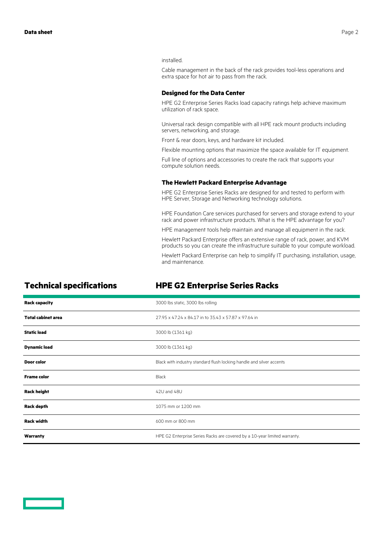#### installed.

Cable management in the back of the rack provides tool-less operations and extra space for hot air to pass from the rack.

#### **Designed for the Data Center**

HPE G2 Enterprise Series Racks load capacity ratings help achieve maximum utilization of rack space.

Universal rack design compatible with all HPE rack mount products including servers, networking, and storage.

Front & rear doors, keys, and hardware kit included.

Flexible mounting options that maximize the space available for IT equipment.

Full line of options and accessories to create the rack that supports your compute solution needs.

#### **The Hewlett Packard Enterprise Advantage**

HPE G2 Enterprise Series Racks are designed for and tested to perform with HPE Server, Storage and Networking technology solutions.

HPE Foundation Care services purchased for servers and storage extend to your rack and power infrastructure products. What is the HPE advantage for you?

HPE management tools help maintain and manage all equipment in the rack.

Hewlett Packard Enterprise offers an extensive range of rack, power, and KVM products so you can create the infrastructure suitable to your compute workload.

Hewlett Packard Enterprise can help to simplify IT purchasing, installation, usage, and maintenance.

## **Technical specifications HPE G2 Enterprise Series Racks**

| <b>Rack capacity</b>      | 3000 lbs static, 3000 lbs rolling                                         |
|---------------------------|---------------------------------------------------------------------------|
| <b>Total cabinet area</b> | 27.95 x 47.24 x 84.17 in to 35.43 x 57.87 x 97.64 in                      |
| <b>Static load</b>        | 3000 lb (1361 kg)                                                         |
| <b>Dynamic load</b>       | 3000 lb (1361 kg)                                                         |
| Door color                | Black with industry standard flush locking handle and silver accents      |
| <b>Frame color</b>        | Black                                                                     |
| <b>Rack height</b>        | 42U and 48U                                                               |
| <b>Rack depth</b>         | 1075 mm or 1200 mm                                                        |
| <b>Rack width</b>         | 600 mm or 800 mm                                                          |
| Warranty                  | HPE G2 Enterprise Series Racks are covered by a 10-year limited warranty. |